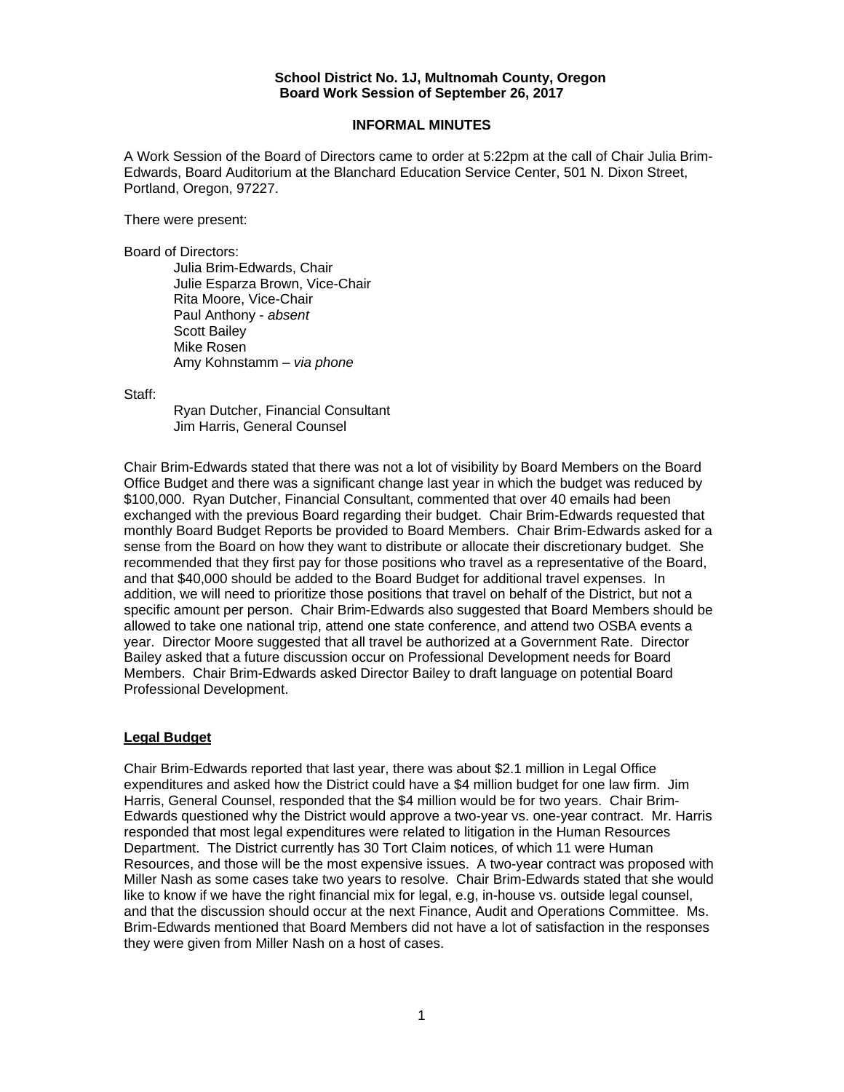## **School District No. 1J, Multnomah County, Oregon Board Work Session of September 26, 2017**

## **INFORMAL MINUTES**

A Work Session of the Board of Directors came to order at 5:22pm at the call of Chair Julia Brim-Edwards, Board Auditorium at the Blanchard Education Service Center, 501 N. Dixon Street, Portland, Oregon, 97227.

There were present:

Board of Directors:

 Julia Brim-Edwards, Chair Julie Esparza Brown, Vice-Chair Rita Moore, Vice-Chair Paul Anthony - *absent*  Scott Bailey Mike Rosen Amy Kohnstamm – *via phone* 

Staff:

 Ryan Dutcher, Financial Consultant Jim Harris, General Counsel

Chair Brim-Edwards stated that there was not a lot of visibility by Board Members on the Board Office Budget and there was a significant change last year in which the budget was reduced by \$100,000. Ryan Dutcher, Financial Consultant, commented that over 40 emails had been exchanged with the previous Board regarding their budget. Chair Brim-Edwards requested that monthly Board Budget Reports be provided to Board Members. Chair Brim-Edwards asked for a sense from the Board on how they want to distribute or allocate their discretionary budget. She recommended that they first pay for those positions who travel as a representative of the Board, and that \$40,000 should be added to the Board Budget for additional travel expenses. In addition, we will need to prioritize those positions that travel on behalf of the District, but not a specific amount per person. Chair Brim-Edwards also suggested that Board Members should be allowed to take one national trip, attend one state conference, and attend two OSBA events a year. Director Moore suggested that all travel be authorized at a Government Rate. Director Bailey asked that a future discussion occur on Professional Development needs for Board Members. Chair Brim-Edwards asked Director Bailey to draft language on potential Board Professional Development.

## **Legal Budget**

Chair Brim-Edwards reported that last year, there was about \$2.1 million in Legal Office expenditures and asked how the District could have a \$4 million budget for one law firm. Jim Harris, General Counsel, responded that the \$4 million would be for two years. Chair Brim-Edwards questioned why the District would approve a two-year vs. one-year contract. Mr. Harris responded that most legal expenditures were related to litigation in the Human Resources Department. The District currently has 30 Tort Claim notices, of which 11 were Human Resources, and those will be the most expensive issues. A two-year contract was proposed with Miller Nash as some cases take two years to resolve. Chair Brim-Edwards stated that she would like to know if we have the right financial mix for legal, e.g, in-house vs. outside legal counsel, and that the discussion should occur at the next Finance, Audit and Operations Committee. Ms. Brim-Edwards mentioned that Board Members did not have a lot of satisfaction in the responses they were given from Miller Nash on a host of cases.